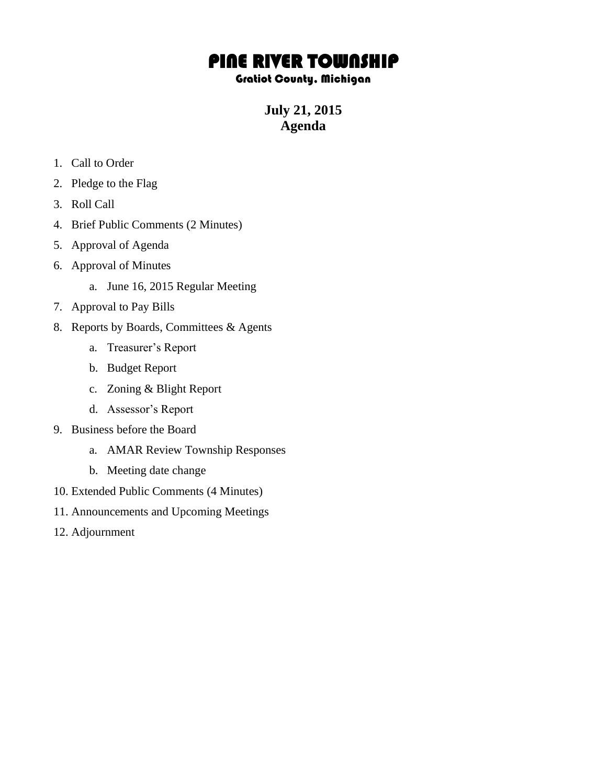# PINE RIVER TOWNSHIP

## Gratiot County, Michigan

**July 21, 2015 Agenda**

- 1. Call to Order
- 2. Pledge to the Flag
- 3. Roll Call
- 4. Brief Public Comments (2 Minutes)
- 5. Approval of Agenda
- 6. Approval of Minutes
	- a. June 16, 2015 Regular Meeting
- 7. Approval to Pay Bills
- 8. Reports by Boards, Committees & Agents
	- a. Treasurer's Report
	- b. Budget Report
	- c. Zoning & Blight Report
	- d. Assessor's Report
- 9. Business before the Board
	- a. AMAR Review Township Responses
	- b. Meeting date change
- 10. Extended Public Comments (4 Minutes)
- 11. Announcements and Upcoming Meetings
- 12. Adjournment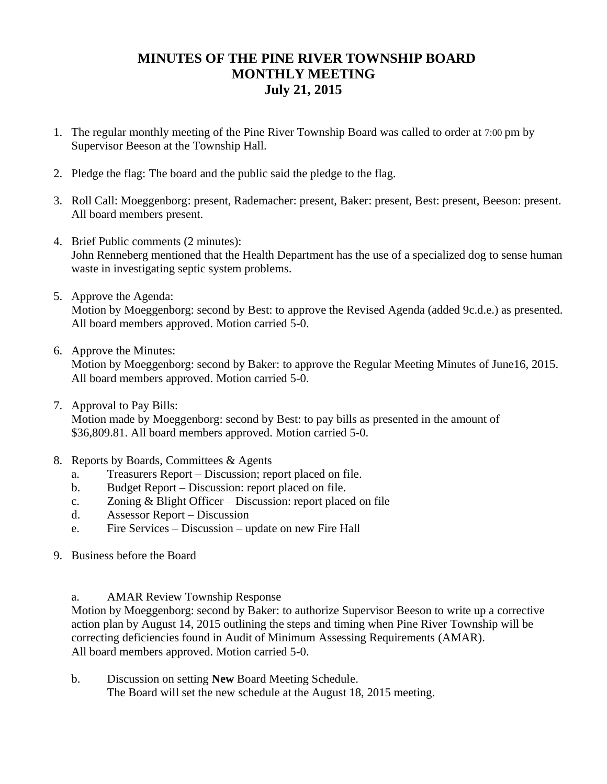## **MINUTES OF THE PINE RIVER TOWNSHIP BOARD MONTHLY MEETING July 21, 2015**

- 1. The regular monthly meeting of the Pine River Township Board was called to order at 7:00 pm by Supervisor Beeson at the Township Hall.
- 2. Pledge the flag: The board and the public said the pledge to the flag.
- 3. Roll Call: Moeggenborg: present, Rademacher: present, Baker: present, Best: present, Beeson: present. All board members present.
- 4. Brief Public comments (2 minutes): John Renneberg mentioned that the Health Department has the use of a specialized dog to sense human waste in investigating septic system problems.
- 5. Approve the Agenda:

Motion by Moeggenborg: second by Best: to approve the Revised Agenda (added 9c.d.e.) as presented. All board members approved. Motion carried 5-0.

6. Approve the Minutes:

Motion by Moeggenborg: second by Baker: to approve the Regular Meeting Minutes of June16, 2015. All board members approved. Motion carried 5-0.

7. Approval to Pay Bills:

Motion made by Moeggenborg: second by Best: to pay bills as presented in the amount of \$36,809.81. All board members approved. Motion carried 5-0.

- 8. Reports by Boards, Committees & Agents
	- a. Treasurers Report Discussion; report placed on file.
	- b. Budget Report Discussion: report placed on file.
	- c. Zoning & Blight Officer Discussion: report placed on file
	- d. Assessor Report Discussion
	- e. Fire Services Discussion update on new Fire Hall
- 9. Business before the Board
	- a. AMAR Review Township Response

Motion by Moeggenborg: second by Baker: to authorize Supervisor Beeson to write up a corrective action plan by August 14, 2015 outlining the steps and timing when Pine River Township will be correcting deficiencies found in Audit of Minimum Assessing Requirements (AMAR). All board members approved. Motion carried 5-0.

b. Discussion on setting **New** Board Meeting Schedule. The Board will set the new schedule at the August 18, 2015 meeting.